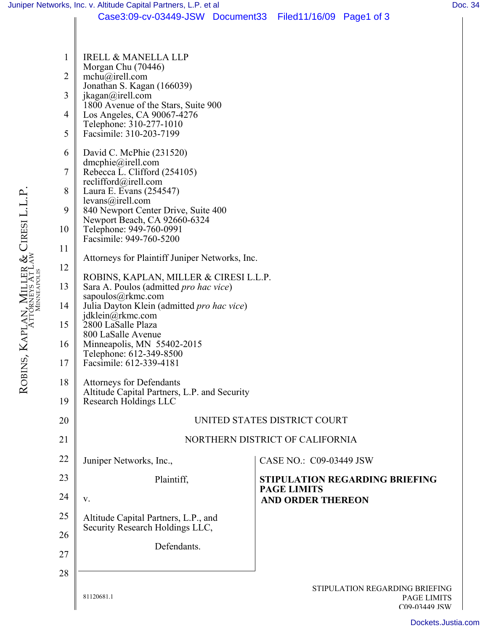|          |    | Juniper Networks, Inc. v. Altitude Capital Partners, L.P. et al | Doc. 34 |
|----------|----|-----------------------------------------------------------------|---------|
|          |    | Case3:09-cv-03449-JSW Document33 Filed11/16/09 Page1 of 3       |         |
|          | 1  | <b>IRELL &amp; MANELLA LLP</b>                                  |         |
|          | 2  | Morgan Chu (70446)<br>$mchu(\vec{a})$ irell.com                 |         |
|          |    | Jonathan S. Kagan (166039)                                      |         |
|          | 3  | jkagan@irell.com                                                |         |
|          |    | 1800 Avenue of the Stars, Suite 900                             |         |
|          | 4  | Los Angeles, CA 90067-4276<br>Telephone: 310-277-1010           |         |
|          | 5  | Facsimile: 310-203-7199                                         |         |
|          | 6  | David C. McPhie $(231520)$                                      |         |
|          |    | dmcphie@irell.com                                               |         |
|          | 7  | Rebecca L. Clifford (254105)                                    |         |
|          |    | reclifford@irell.com                                            |         |
|          | 8  | Laura E. Evans (254547)                                         |         |
|          | 9  | levans@irell.com<br>840 Newport Center Drive, Suite 400         |         |
| resi L.I |    | Newport Beach, CA 92660-6324                                    |         |
|          | 10 | Telephone: 949-760-0991                                         |         |
|          |    | $Faccimile 0.40-760-5200$                                       |         |

| 9  | 840 Newport Center Drive, Suite 400                                                                    |                                                                       |  |  |  |
|----|--------------------------------------------------------------------------------------------------------|-----------------------------------------------------------------------|--|--|--|
| 10 | Newport Beach, CA 92660-6324<br>Telephone: 949-760-0991                                                |                                                                       |  |  |  |
| 11 | Facsimile: 949-760-5200                                                                                |                                                                       |  |  |  |
|    | Attorneys for Plaintiff Juniper Networks, Inc.                                                         |                                                                       |  |  |  |
| 12 | ROBINS, KAPLAN, MILLER & CIRESI L.L.P.                                                                 |                                                                       |  |  |  |
| 13 | Sara A. Poulos (admitted <i>pro hac vice</i> )                                                         |                                                                       |  |  |  |
| 14 | sapoulos@rkmc.com<br>Julia Dayton Klein (admitted pro hac vice)                                        |                                                                       |  |  |  |
| 15 | jdklein $\overline{a}$ rkmc.com<br>2800 LaSalle Plaza                                                  |                                                                       |  |  |  |
|    | 800 LaSalle Avenue<br>Minneapolis, MN 55402-2015<br>Telephone: 612-349-8500<br>Facsimile: 612-339-4181 |                                                                       |  |  |  |
| 16 |                                                                                                        |                                                                       |  |  |  |
| 17 |                                                                                                        |                                                                       |  |  |  |
| 18 | <b>Attorneys for Defendants</b>                                                                        |                                                                       |  |  |  |
| 19 | Altitude Capital Partners, L.P. and Security<br>Research Holdings LLC                                  |                                                                       |  |  |  |
|    |                                                                                                        |                                                                       |  |  |  |
| 20 | UNITED STATES DISTRICT COURT                                                                           |                                                                       |  |  |  |
| 21 | NORTHERN DISTRICT OF CALIFORNIA                                                                        |                                                                       |  |  |  |
| 22 | Juniper Networks, Inc.,                                                                                | CASE NO.: C09-03449 JSW                                               |  |  |  |
| 23 | Plaintiff,                                                                                             | <b>STIPULATION REGARDING BRIEFING</b>                                 |  |  |  |
| 24 | $V_{r}$                                                                                                | <b>PAGE LIMITS</b><br><b>AND ORDER THEREON</b>                        |  |  |  |
| 25 | Altitude Capital Partners, L.P., and                                                                   |                                                                       |  |  |  |
| 26 | Security Research Holdings LLC,                                                                        |                                                                       |  |  |  |
|    | Defendants.                                                                                            |                                                                       |  |  |  |
| 27 |                                                                                                        |                                                                       |  |  |  |
| 28 |                                                                                                        |                                                                       |  |  |  |
|    | 81120681.1                                                                                             | STIPULATION REGARDING BRIEFING<br><b>PAGE LIMITS</b><br>C09-03449 JSW |  |  |  |
|    |                                                                                                        | Dockets Just                                                          |  |  |  |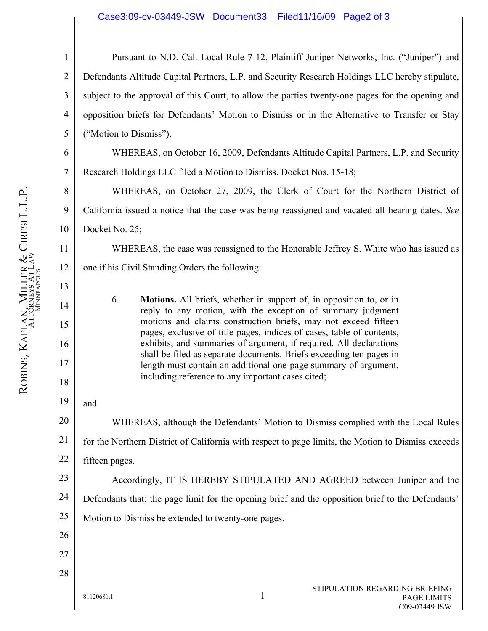1 2 3 4 5 Pursuant to N.D. Cal. Local Rule 7-12, Plaintiff Juniper Networks, Inc. ("Juniper") and Defendants Altitude Capital Partners, L.P. and Security Research Holdings LLC hereby stipulate, subject to the approval of this Court, to allow the parties twenty-one pages for the opening and opposition briefs for Defendants' Motion to Dismiss or in the Alternative to Transfer or Stay ("Motion to Dismiss").

WHEREAS, on October 16, 2009, Defendants Altitude Capital Partners, L.P. and Security Research Holdings LLC filed a Motion to Dismiss. Docket Nos. 15-18;

WHEREAS, on October 27, 2009, the Clerk of Court for the Northern District of California issued a notice that the case was being reassigned and vacated all hearing dates. *See*  Docket No. 25;

WHEREAS, the case was reassigned to the Honorable Jeffrey S. White who has issued as one if his Civil Standing Orders the following:

6. **Motions.** All briefs, whether in support of, in opposition to, or in reply to any motion, with the exception of summary judgment motions and claims construction briefs, may not exceed fifteen pages, exclusive of title pages, indices of cases, table of contents, exhibits, and summaries of argument, if required. All declarations shall be filed as separate documents. Briefs exceeding ten pages in length must contain an additional one-page summary of argument, including reference to any important cases cited;

19 and

20 21 22 WHEREAS, although the Defendants' Motion to Dismiss complied with the Local Rules for the Northern District of California with respect to page limits, the Motion to Dismiss exceeds fifteen pages.

23 24 25 Accordingly, IT IS HEREBY STIPULATED AND AGREED between Juniper and the Defendants that: the page limit for the opening brief and the opposition brief to the Defendants' Motion to Dismiss be extended to twenty-one pages.

81120681.1 1

- 26 27
- 28

6

7

8

9

10

11

12

13

14

15

16

17

18